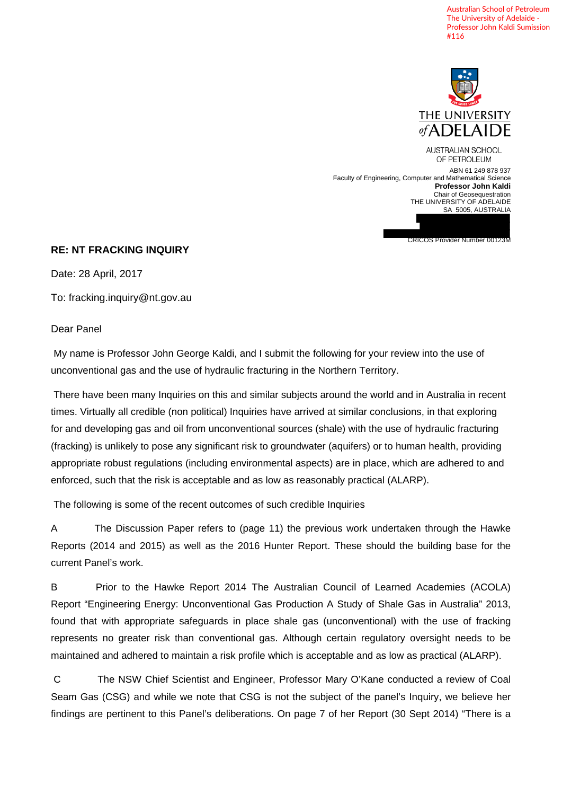Australian School of Petroleum The University of Adelaide - Professor John Kaldi Sumission #116



CRICOS Provider Number 00123M

AUSTRALIAN SCHOOL OF PETROLEUM ABN 61 249 878 937 Faculty of Engineering, Computer and Mathematical Science **Professor John Kaldi**  Chair of Geosequestration THE UNIVERSITY OF ADELAIDE SA 5005, AUSTRALIA

## **RE: NT FRACKING INQUIRY**

Date: 28 April, 2017

To: fracking.inquiry@nt.gov.au

## Dear Panel

 My name is Professor John George Kaldi, and I submit the following for your review into the use of unconventional gas and the use of hydraulic fracturing in the Northern Territory.

 There have been many Inquiries on this and similar subjects around the world and in Australia in recent times. Virtually all credible (non political) Inquiries have arrived at similar conclusions, in that exploring for and developing gas and oil from unconventional sources (shale) with the use of hydraulic fracturing (fracking) is unlikely to pose any significant risk to groundwater (aquifers) or to human health, providing appropriate robust regulations (including environmental aspects) are in place, which are adhered to and enforced, such that the risk is acceptable and as low as reasonably practical (ALARP).

The following is some of the recent outcomes of such credible Inquiries

A The Discussion Paper refers to (page 11) the previous work undertaken through the Hawke Reports (2014 and 2015) as well as the 2016 Hunter Report. These should the building base for the current Panel's work.

B Prior to the Hawke Report 2014 The Australian Council of Learned Academies (ACOLA) Report "Engineering Energy: Unconventional Gas Production A Study of Shale Gas in Australia" 2013, found that with appropriate safeguards in place shale gas (unconventional) with the use of fracking represents no greater risk than conventional gas. Although certain regulatory oversight needs to be maintained and adhered to maintain a risk profile which is acceptable and as low as practical (ALARP).

 C The NSW Chief Scientist and Engineer, Professor Mary O'Kane conducted a review of Coal Seam Gas (CSG) and while we note that CSG is not the subject of the panel's Inquiry, we believe her findings are pertinent to this Panel's deliberations. On page 7 of her Report (30 Sept 2014) "There is a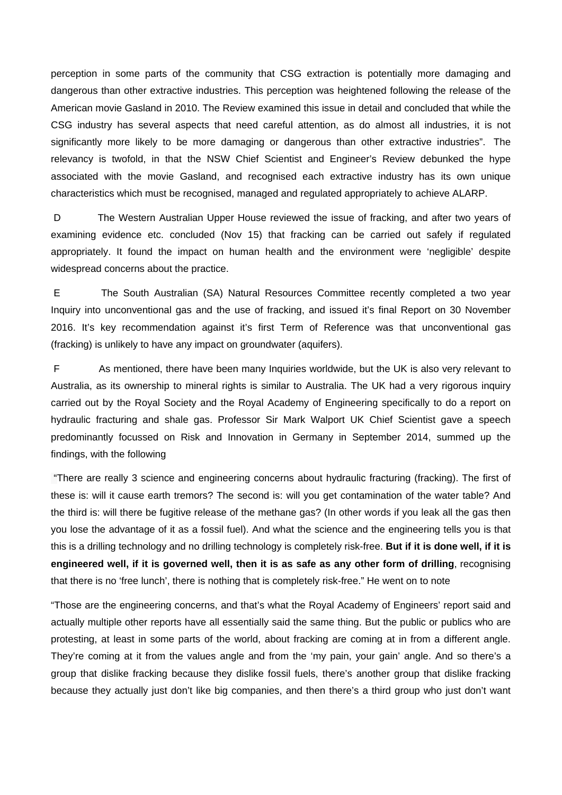perception in some parts of the community that CSG extraction is potentially more damaging and dangerous than other extractive industries. This perception was heightened following the release of the American movie Gasland in 2010. The Review examined this issue in detail and concluded that while the CSG industry has several aspects that need careful attention, as do almost all industries, it is not significantly more likely to be more damaging or dangerous than other extractive industries". The relevancy is twofold, in that the NSW Chief Scientist and Engineer's Review debunked the hype associated with the movie Gasland, and recognised each extractive industry has its own unique characteristics which must be recognised, managed and regulated appropriately to achieve ALARP.

 D The Western Australian Upper House reviewed the issue of fracking, and after two years of examining evidence etc. concluded (Nov 15) that fracking can be carried out safely if regulated appropriately. It found the impact on human health and the environment were 'negligible' despite widespread concerns about the practice.

 E The South Australian (SA) Natural Resources Committee recently completed a two year Inquiry into unconventional gas and the use of fracking, and issued it's final Report on 30 November 2016. It's key recommendation against it's first Term of Reference was that unconventional gas (fracking) is unlikely to have any impact on groundwater (aquifers).

 F As mentioned, there have been many Inquiries worldwide, but the UK is also very relevant to Australia, as its ownership to mineral rights is similar to Australia. The UK had a very rigorous inquiry carried out by the Royal Society and the Royal Academy of Engineering specifically to do a report on hydraulic fracturing and shale gas. Professor Sir Mark Walport UK Chief Scientist gave a speech predominantly focussed on Risk and Innovation in Germany in September 2014, summed up the findings, with the following

 "There are really 3 science and engineering concerns about hydraulic fracturing (fracking). The first of these is: will it cause earth tremors? The second is: will you get contamination of the water table? And the third is: will there be fugitive release of the methane gas? (In other words if you leak all the gas then you lose the advantage of it as a fossil fuel). And what the science and the engineering tells you is that this is a drilling technology and no drilling technology is completely risk-free. **But if it is done well, if it is engineered well, if it is governed well, then it is as safe as any other form of drilling**, recognising that there is no 'free lunch', there is nothing that is completely risk-free." He went on to note

"Those are the engineering concerns, and that's what the Royal Academy of Engineers' report said and actually multiple other reports have all essentially said the same thing. But the public or publics who are protesting, at least in some parts of the world, about fracking are coming at in from a different angle. They're coming at it from the values angle and from the 'my pain, your gain' angle. And so there's a group that dislike fracking because they dislike fossil fuels, there's another group that dislike fracking because they actually just don't like big companies, and then there's a third group who just don't want